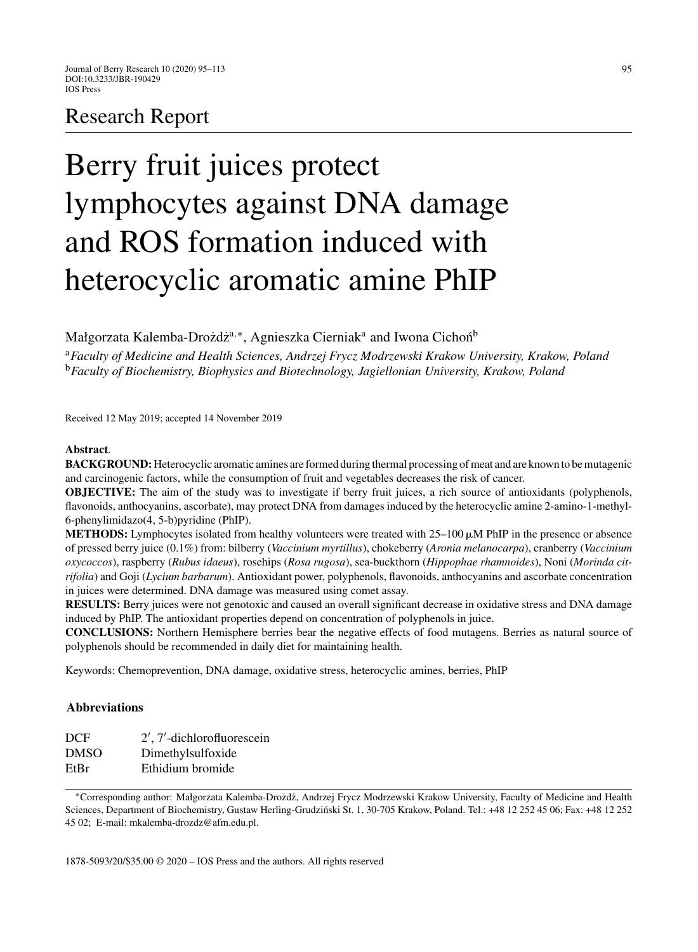# Research Report

# Berry fruit juices protect lymphocytes against DNA damage and ROS formation induced with heterocyclic aromatic amine PhIP

Małgorzata Kalemba-Drozdz<sup>a,∗</sup>, Agnieszka Cierniak<sup>a</sup> and Iwona Cichoń<sup>b</sup>

<sup>a</sup>*Faculty of Medicine and Health Sciences, Andrzej Frycz Modrzewski Krakow University, Krakow, Poland* <sup>b</sup>*Faculty of Biochemistry, Biophysics and Biotechnology, Jagiellonian University, Krakow, Poland*

Received 12 May 2019; accepted 14 November 2019

#### **Abstract**.

**BACKGROUND:**Heterocyclic aromatic amines are formed during thermal processing of meat and are known to be mutagenic and carcinogenic factors, while the consumption of fruit and vegetables decreases the risk of cancer.

**OBJECTIVE:** The aim of the study was to investigate if berry fruit juices, a rich source of antioxidants (polyphenols, flavonoids, anthocyanins, ascorbate), may protect DNA from damages induced by the heterocyclic amine 2-amino-1-methyl-6-phenylimidazo(4, 5-b)pyridine (PhIP).

**METHODS:** Lymphocytes isolated from healthy volunteers were treated with  $25-100 \mu$ M PhIP in the presence or absence of pressed berry juice (0.1%) from: bilberry (*Vaccinium myrtillus*), chokeberry (*Aronia melanocarpa*), cranberry (*Vaccinium oxycoccos*), raspberry (*Rubus idaeus*), rosehips (*Rosa rugosa*), sea-buckthorn (*Hippophae rhamnoides*), Noni (*Morinda citrifolia*) and Goji (*Lycium barbarum*). Antioxidant power, polyphenols, flavonoids, anthocyanins and ascorbate concentration in juices were determined. DNA damage was measured using comet assay.

**RESULTS:** Berry juices were not genotoxic and caused an overall significant decrease in oxidative stress and DNA damage induced by PhIP. The antioxidant properties depend on concentration of polyphenols in juice.

**CONCLUSIONS:** Northern Hemisphere berries bear the negative effects of food mutagens. Berries as natural source of polyphenols should be recommended in daily diet for maintaining health.

Keywords: Chemoprevention, DNA damage, oxidative stress, heterocyclic amines, berries, PhIP

# **Abbreviations**

| 2', 7'-dichlorofluorescein |
|----------------------------|
| Dimethylsulfoxide          |
| Ethidium bromide           |
|                            |

<sup>∗</sup>Corresponding author: Małgorzata Kalemba-Drozd˙ z, Andrzej Frycz Modrzewski Krakow University, Faculty of Medicine and Health ˙ Sciences, Department of Biochemistry, Gustaw Herling-Grudziński St. 1, 30-705 Krakow, Poland. Tel.: +48 12 252 45 06; Fax: +48 12 252 45 02; E-mail: [mkalemba-drozdz@afm.edu.pl.](mailto:mkalemba-drozdz@afm.edu.pl)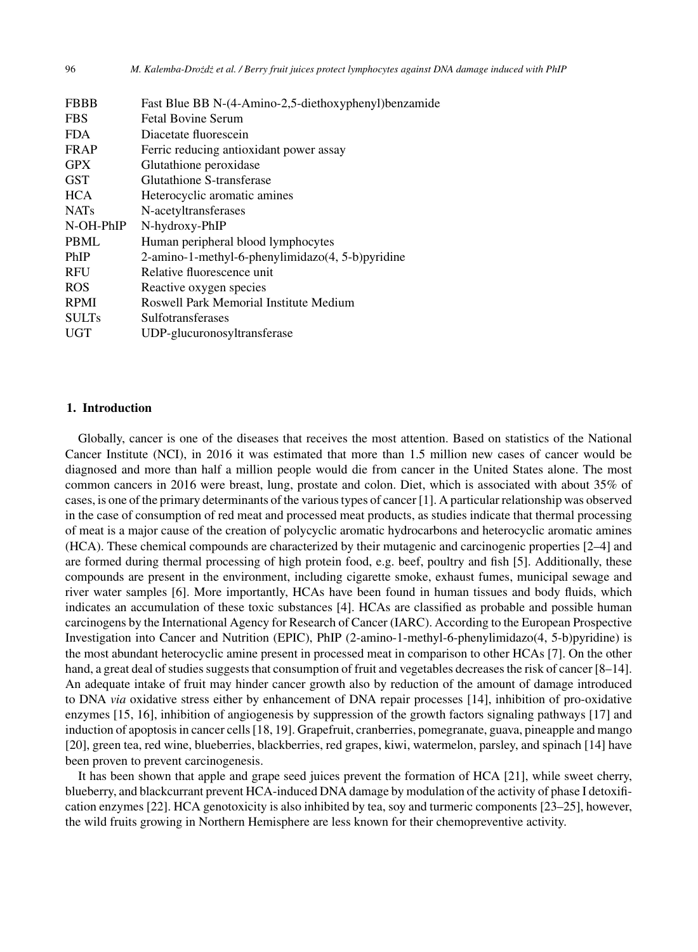| <b>FBBB</b>  | Fast Blue BB N-(4-Amino-2,5-diethoxyphenyl)benzamide |
|--------------|------------------------------------------------------|
| <b>FBS</b>   | <b>Fetal Bovine Serum</b>                            |
| <b>FDA</b>   | Diacetate fluorescein                                |
| <b>FRAP</b>  | Ferric reducing antioxidant power assay              |
| <b>GPX</b>   | Glutathione peroxidase                               |
| GST          | Glutathione S-transferase                            |
| <b>HCA</b>   | Heterocyclic aromatic amines                         |
| <b>NATs</b>  | N-acetyltransferases                                 |
| N-OH-PhIP    | N-hydroxy-PhIP                                       |
| <b>PBML</b>  | Human peripheral blood lymphocytes                   |
| PhIP         | 2-amino-1-methyl-6-phenylimidazo(4, 5-b)pyridine     |
| RFU          | Relative fluorescence unit                           |
| <b>ROS</b>   | Reactive oxygen species                              |
| <b>RPMI</b>  | Roswell Park Memorial Institute Medium               |
| <b>SULTs</b> | Sulfotransferases                                    |
| <b>UGT</b>   | UDP-glucuronosyltransferase                          |
|              |                                                      |

# **1. Introduction**

Globally, cancer is one of the diseases that receives the most attention. Based on statistics of the National Cancer Institute (NCI), in 2016 it was estimated that more than 1.5 million new cases of cancer would be diagnosed and more than half a million people would die from cancer in the United States alone. The most common cancers in 2016 were breast, lung, prostate and colon. Diet, which is associated with about 35% of cases, is one of the primary determinants of the various types of cancer [1]. A particular relationship was observed in the case of consumption of red meat and processed meat products, as studies indicate that thermal processing of meat is a major cause of the creation of polycyclic aromatic hydrocarbons and heterocyclic aromatic amines (HCA). These chemical compounds are characterized by their mutagenic and carcinogenic properties [2–4] and are formed during thermal processing of high protein food, e.g. beef, poultry and fish [5]. Additionally, these compounds are present in the environment, including cigarette smoke, exhaust fumes, municipal sewage and river water samples [6]. More importantly, HCAs have been found in human tissues and body fluids, which indicates an accumulation of these toxic substances [4]. HCAs are classified as probable and possible human carcinogens by the International Agency for Research of Cancer (IARC). According to the European Prospective Investigation into Cancer and Nutrition (EPIC), PhIP (2-amino-1-methyl-6-phenylimidazo(4, 5-b)pyridine) is the most abundant heterocyclic amine present in processed meat in comparison to other HCAs [7]. On the other hand, a great deal of studies suggests that consumption of fruit and vegetables decreases the risk of cancer [8–14]. An adequate intake of fruit may hinder cancer growth also by reduction of the amount of damage introduced to DNA *via* oxidative stress either by enhancement of DNA repair processes [14], inhibition of pro-oxidative enzymes [15, 16], inhibition of angiogenesis by suppression of the growth factors signaling pathways [17] and induction of apoptosis in cancer cells [18, 19]. Grapefruit, cranberries, pomegranate, guava, pineapple and mango [20], green tea, red wine, blueberries, blackberries, red grapes, kiwi, watermelon, parsley, and spinach [14] have been proven to prevent carcinogenesis.

It has been shown that apple and grape seed juices prevent the formation of HCA [21], while sweet cherry, blueberry, and blackcurrant prevent HCA-induced DNA damage by modulation of the activity of phase I detoxification enzymes [22]. HCA genotoxicity is also inhibited by tea, soy and turmeric components [23–25], however, the wild fruits growing in Northern Hemisphere are less known for their chemopreventive activity.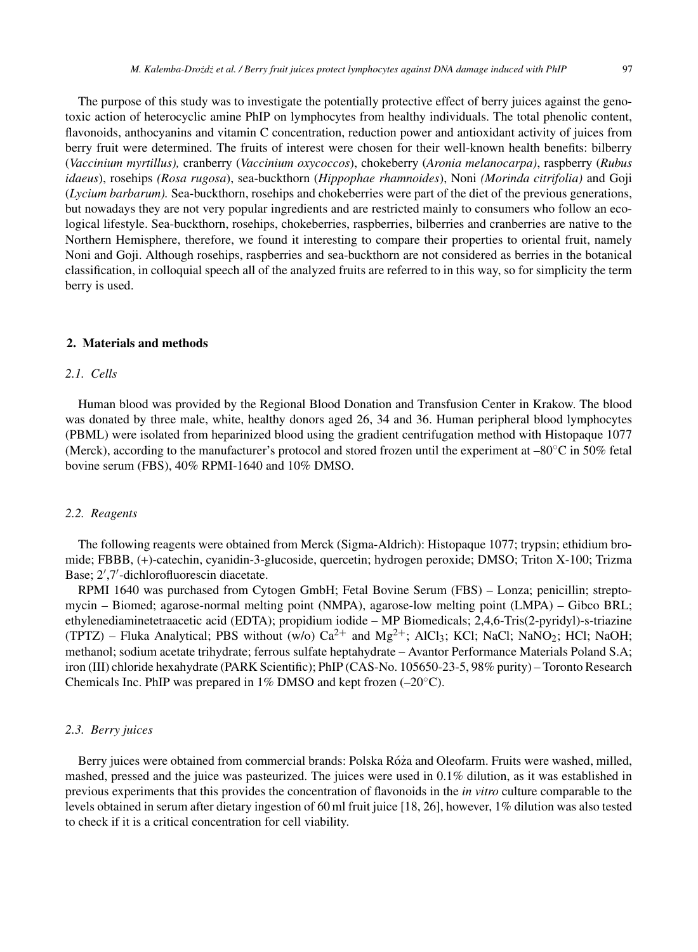The purpose of this study was to investigate the potentially protective effect of berry juices against the genotoxic action of heterocyclic amine PhIP on lymphocytes from healthy individuals. The total phenolic content, flavonoids, anthocyanins and vitamin C concentration, reduction power and antioxidant activity of juices from berry fruit were determined. The fruits of interest were chosen for their well-known health benefits: bilberry (*Vaccinium myrtillus),* cranberry (*Vaccinium oxycoccos*), chokeberry (*Aronia melanocarpa)*, raspberry (*Rubus idaeus*), rosehips *(Rosa rugosa*), sea-buckthorn (*Hippophae rhamnoides*), Noni *(Morinda citrifolia)* and Goji (*Lycium barbarum).* Sea-buckthorn, rosehips and chokeberries were part of the diet of the previous generations, but nowadays they are not very popular ingredients and are restricted mainly to consumers who follow an ecological lifestyle. Sea-buckthorn, rosehips, chokeberries, raspberries, bilberries and cranberries are native to the Northern Hemisphere, therefore, we found it interesting to compare their properties to oriental fruit, namely Noni and Goji. Although rosehips, raspberries and sea-buckthorn are not considered as berries in the botanical classification, in colloquial speech all of the analyzed fruits are referred to in this way, so for simplicity the term berry is used.

# **2. Materials and methods**

#### *2.1. Cells*

Human blood was provided by the Regional Blood Donation and Transfusion Center in Krakow. The blood was donated by three male, white, healthy donors aged 26, 34 and 36. Human peripheral blood lymphocytes (PBML) were isolated from heparinized blood using the gradient centrifugation method with Histopaque 1077 (Merck), according to the manufacturer's protocol and stored frozen until the experiment at –80◦C in 50% fetal bovine serum (FBS), 40% RPMI-1640 and 10% DMSO.

#### *2.2. Reagents*

The following reagents were obtained from Merck (Sigma-Aldrich): Histopaque 1077; trypsin; ethidium bromide; FBBB, (+)-catechin, cyanidin-3-glucoside, quercetin; hydrogen peroxide; DMSO; Triton X-100; Trizma Base; 2 ,7 -dichlorofluorescin diacetate.

RPMI 1640 was purchased from Cytogen GmbH; Fetal Bovine Serum (FBS) – Lonza; penicillin; streptomycin – Biomed; agarose-normal melting point (NMPA), agarose-low melting point (LMPA) – Gibco BRL; ethylenediaminetetraacetic acid (EDTA); propidium iodide – MP Biomedicals; 2,4,6-Tris(2-pyridyl)-s-triazine (TPTZ) – Fluka Analytical; PBS without (w/o)  $Ca^{2+}$  and  $Mg^{2+}$ ; AlCl<sub>3</sub>; KCl; NaOl; NaNO<sub>2</sub>; HCl; NaOH; methanol; sodium acetate trihydrate; ferrous sulfate heptahydrate – Avantor Performance Materials Poland S.A; iron (III) chloride hexahydrate (PARK Scientific); PhIP (CAS-No. 105650-23-5, 98% purity) – Toronto Research Chemicals Inc. PhIP was prepared in 1% DMSO and kept frozen  $(-20^{\circ}C)$ .

# *2.3. Berry juices*

Berry juices were obtained from commercial brands: Polska Róza and Oleofarm. Fruits were washed, milled, mashed, pressed and the juice was pasteurized. The juices were used in 0.1% dilution, as it was established in previous experiments that this provides the concentration of flavonoids in the *in vitro* culture comparable to the levels obtained in serum after dietary ingestion of 60 ml fruit juice [18, 26], however, 1% dilution was also tested to check if it is a critical concentration for cell viability.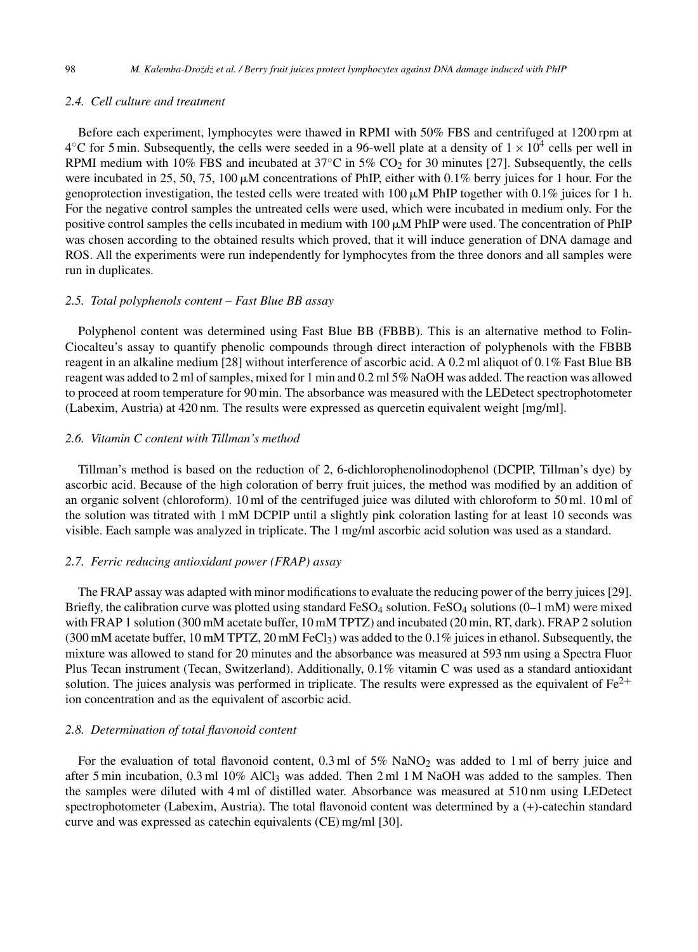# *2.4. Cell culture and treatment*

Before each experiment, lymphocytes were thawed in RPMI with 50% FBS and centrifuged at 1200 rpm at  $4^{\circ}$ C for 5 min. Subsequently, the cells were seeded in a 96-well plate at a density of  $1 \times 10^4$  cells per well in RPMI medium with 10% FBS and incubated at 37 $^{\circ}$ C in 5% CO<sub>2</sub> for 30 minutes [27]. Subsequently, the cells were incubated in 25, 50, 75, 100  $\mu$ M concentrations of PhIP, either with 0.1% berry juices for 1 hour. For the genoprotection investigation, the tested cells were treated with 100  $\mu$ M PhIP together with 0.1% juices for 1 h. For the negative control samples the untreated cells were used, which were incubated in medium only. For the positive control samples the cells incubated in medium with  $100 \mu M$  PhIP were used. The concentration of PhIP was chosen according to the obtained results which proved, that it will induce generation of DNA damage and ROS. All the experiments were run independently for lymphocytes from the three donors and all samples were run in duplicates.

# *2.5. Total polyphenols content – Fast Blue BB assay*

Polyphenol content was determined using Fast Blue BB (FBBB). This is an alternative method to Folin-Ciocalteu's assay to quantify phenolic compounds through direct interaction of polyphenols with the FBBB reagent in an alkaline medium [28] without interference of ascorbic acid. A 0.2 ml aliquot of 0.1% Fast Blue BB reagent was added to 2 ml of samples, mixed for 1 min and 0.2 ml 5% NaOH was added. The reaction was allowed to proceed at room temperature for 90 min. The absorbance was measured with the LEDetect spectrophotometer (Labexim, Austria) at 420 nm. The results were expressed as quercetin equivalent weight [mg/ml].

# *2.6. Vitamin C content with Tillman's method*

Tillman's method is based on the reduction of 2, 6-dichlorophenolinodophenol (DCPIP, Tillman's dye) by ascorbic acid. Because of the high coloration of berry fruit juices, the method was modified by an addition of an organic solvent (chloroform). 10 ml of the centrifuged juice was diluted with chloroform to 50 ml. 10 ml of the solution was titrated with 1 mM DCPIP until a slightly pink coloration lasting for at least 10 seconds was visible. Each sample was analyzed in triplicate. The 1 mg/ml ascorbic acid solution was used as a standard.

# *2.7. Ferric reducing antioxidant power (FRAP) assay*

The FRAP assay was adapted with minor modifications to evaluate the reducing power of the berry juices [29]. Briefly, the calibration curve was plotted using standard FeSO<sub>4</sub> solution. FeSO<sub>4</sub> solutions (0–1 mM) were mixed with FRAP 1 solution (300 mM acetate buffer, 10 mM TPTZ) and incubated (20 min, RT, dark). FRAP 2 solution  $(300 \text{ mM acetate buffer}, 10 \text{ mM TPTZ}, 20 \text{ mM FeCl<sub>3</sub>)$  was added to the  $0.1\%$  juices in ethanol. Subsequently, the mixture was allowed to stand for 20 minutes and the absorbance was measured at 593 nm using a Spectra Fluor Plus Tecan instrument (Tecan, Switzerland). Additionally, 0.1% vitamin C was used as a standard antioxidant solution. The juices analysis was performed in triplicate. The results were expressed as the equivalent of  $Fe^{2+}$ ion concentration and as the equivalent of ascorbic acid.

# *2.8. Determination of total flavonoid content*

For the evaluation of total flavonoid content,  $0.3$  ml of  $5\%$  NaNO<sub>2</sub> was added to 1 ml of berry juice and after 5 min incubation, 0.3 ml 10% AlCl<sub>3</sub> was added. Then 2 ml 1 M NaOH was added to the samples. Then the samples were diluted with 4 ml of distilled water. Absorbance was measured at 510 nm using LEDetect spectrophotometer (Labexim, Austria). The total flavonoid content was determined by a (+)-catechin standard curve and was expressed as catechin equivalents (CE) mg/ml [30].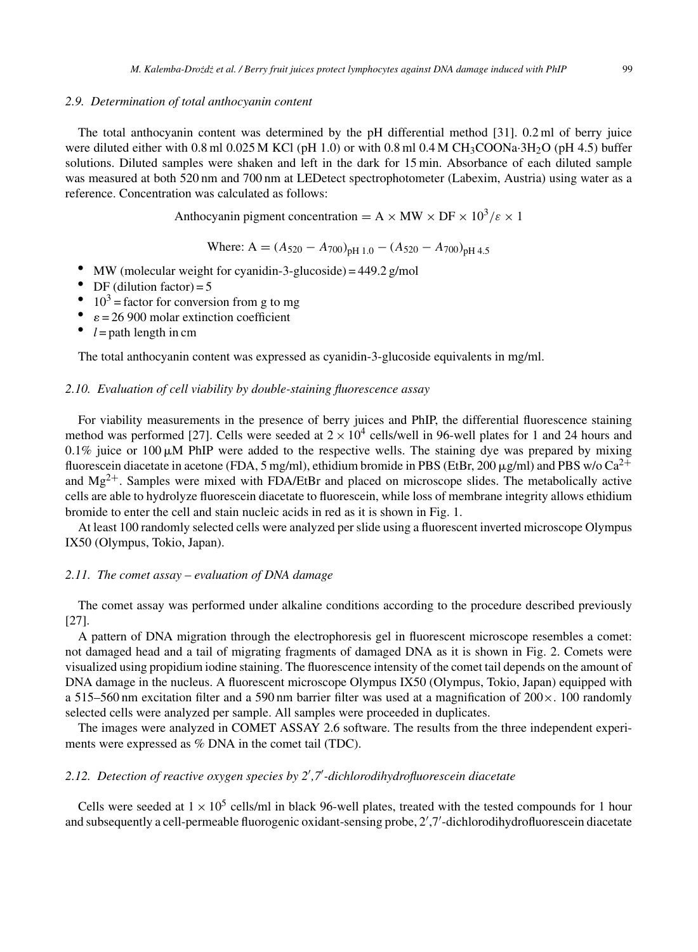# *2.9. Determination of total anthocyanin content*

The total anthocyanin content was determined by the pH differential method [31]. 0.2 ml of berry juice were diluted either with 0.8 ml 0.025 M KCl (pH 1.0) or with 0.8 ml 0.4 M CH<sub>3</sub>COONa·3H<sub>2</sub>O (pH 4.5) buffer solutions. Diluted samples were shaken and left in the dark for 15 min. Absorbance of each diluted sample was measured at both 520 nm and 700 nm at LEDetect spectrophotometer (Labexim, Austria) using water as a reference. Concentration was calculated as follows:

Anthocyanin pigment concentration =  $A \times MW \times DF \times 10^3/\epsilon \times 1$ 

Where: A = 
$$
(A_{520} - A_{700})_{pH 1.0} - (A_{520} - A_{700})_{pH 4.5}
$$

- MW (molecular weight for cyanidin-3-glucoside) = 449.2 g/mol<br>  $\bullet$  DF (dilution factor) = 5
- DF (dilution factor) = 5<br> $10^3$  = factor for convers
- 10<sup>3</sup> = factor for conversion from g to mg<br>  $\epsilon$  = 26 900 molar extinction coefficient
- $\varepsilon = 26900$  molar extinction coefficient
- $l =$  path length in cm

The total anthocyanin content was expressed as cyanidin-3-glucoside equivalents in mg/ml.

# *2.10. Evaluation of cell viability by double-staining fluorescence assay*

For viability measurements in the presence of berry juices and PhIP, the differential fluorescence staining method was performed [27]. Cells were seeded at  $2 \times 10^4$  cells/well in 96-well plates for 1 and 24 hours and  $0.1\%$  juice or 100  $\mu$ M PhIP were added to the respective wells. The staining dye was prepared by mixing fluorescein diacetate in acetone (FDA, 5 mg/ml), ethidium bromide in PBS (EtBr, 200  $\mu$ g/ml) and PBS w/o Ca<sup>2+</sup> and  $Mg^{2+}$ . Samples were mixed with FDA/EtBr and placed on microscope slides. The metabolically active cells are able to hydrolyze fluorescein diacetate to fluorescein, while loss of membrane integrity allows ethidium bromide to enter the cell and stain nucleic acids in red as it is shown in Fig. 1.

At least 100 randomly selected cells were analyzed per slide using a fluorescent inverted microscope Olympus IX50 (Olympus, Tokio, Japan).

# *2.11. The comet assay – evaluation of DNA damage*

The comet assay was performed under alkaline conditions according to the procedure described previously [27].

A pattern of DNA migration through the electrophoresis gel in fluorescent microscope resembles a comet: not damaged head and a tail of migrating fragments of damaged DNA as it is shown in Fig. 2. Comets were visualized using propidium iodine staining. The fluorescence intensity of the comet tail depends on the amount of DNA damage in the nucleus. A fluorescent microscope Olympus IX50 (Olympus, Tokio, Japan) equipped with a 515–560 nm excitation filter and a 590 nm barrier filter was used at a magnification of  $200 \times 0.100$  randomly selected cells were analyzed per sample. All samples were proceeded in duplicates.

The images were analyzed in COMET ASSAY 2.6 software. The results from the three independent experiments were expressed as % DNA in the comet tail (TDC).

## *2.12. Detection of reactive oxygen species by 2 ,7 -dichlorodihydrofluorescein diacetate*

Cells were seeded at  $1 \times 10^5$  cells/ml in black 96-well plates, treated with the tested compounds for 1 hour and subsequently a cell-permeable fluorogenic oxidant-sensing probe, 2',7'-dichlorodihydrofluorescein diacetate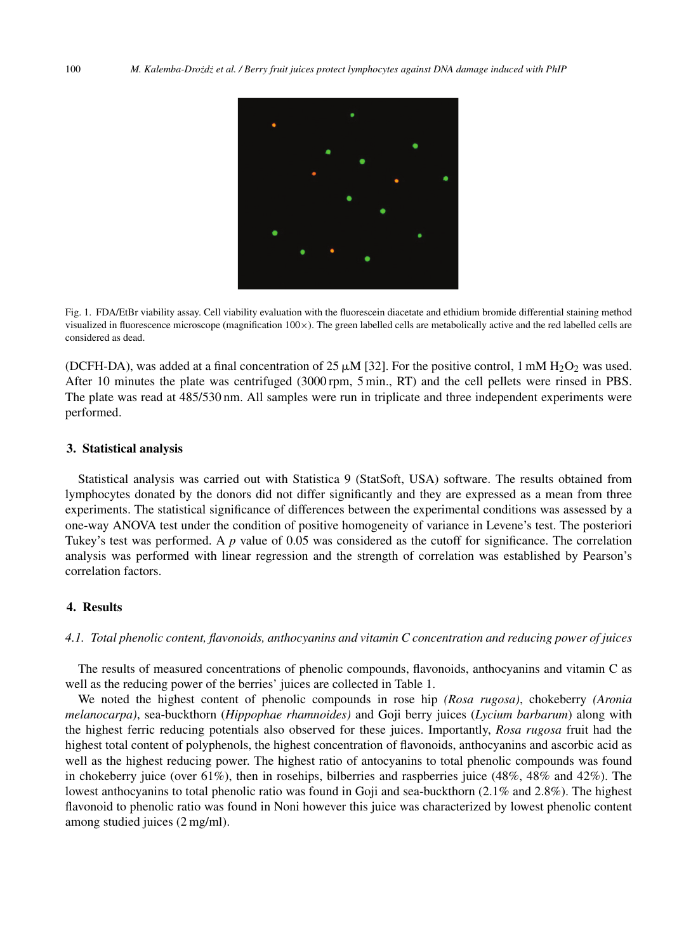

Fig. 1. FDA/EtBr viability assay. Cell viability evaluation with the fluorescein diacetate and ethidium bromide differential staining method visualized in fluorescence microscope (magnification 100×). The green labelled cells are metabolically active and the red labelled cells are considered as dead.

(DCFH-DA), was added at a final concentration of 25  $\mu$ M [32]. For the positive control, 1 mM H<sub>2</sub>O<sub>2</sub> was used. After 10 minutes the plate was centrifuged (3000 rpm, 5 min., RT) and the cell pellets were rinsed in PBS. The plate was read at 485/530 nm. All samples were run in triplicate and three independent experiments were performed.

# **3. Statistical analysis**

Statistical analysis was carried out with Statistica 9 (StatSoft, USA) software. The results obtained from lymphocytes donated by the donors did not differ significantly and they are expressed as a mean from three experiments. The statistical significance of differences between the experimental conditions was assessed by a one-way ANOVA test under the condition of positive homogeneity of variance in Levene's test. The posteriori Tukey's test was performed. A *p* value of 0.05 was considered as the cutoff for significance. The correlation analysis was performed with linear regression and the strength of correlation was established by Pearson's correlation factors.

# **4. Results**

#### *4.1. Total phenolic content, flavonoids, anthocyanins and vitamin C concentration and reducing power of juices*

The results of measured concentrations of phenolic compounds, flavonoids, anthocyanins and vitamin C as well as the reducing power of the berries' juices are collected in Table 1.

We noted the highest content of phenolic compounds in rose hip *(Rosa rugosa)*, chokeberry *(Aronia melanocarpa)*, sea-buckthorn (*Hippophae rhamnoides)* and Goji berry juices (*Lycium barbarum*) along with the highest ferric reducing potentials also observed for these juices. Importantly, *Rosa rugosa* fruit had the highest total content of polyphenols, the highest concentration of flavonoids, anthocyanins and ascorbic acid as well as the highest reducing power. The highest ratio of antocyanins to total phenolic compounds was found in chokeberry juice (over 61%), then in rosehips, bilberries and raspberries juice (48%, 48% and 42%). The lowest anthocyanins to total phenolic ratio was found in Goji and sea-buckthorn (2.1% and 2.8%). The highest flavonoid to phenolic ratio was found in Noni however this juice was characterized by lowest phenolic content among studied juices (2 mg/ml).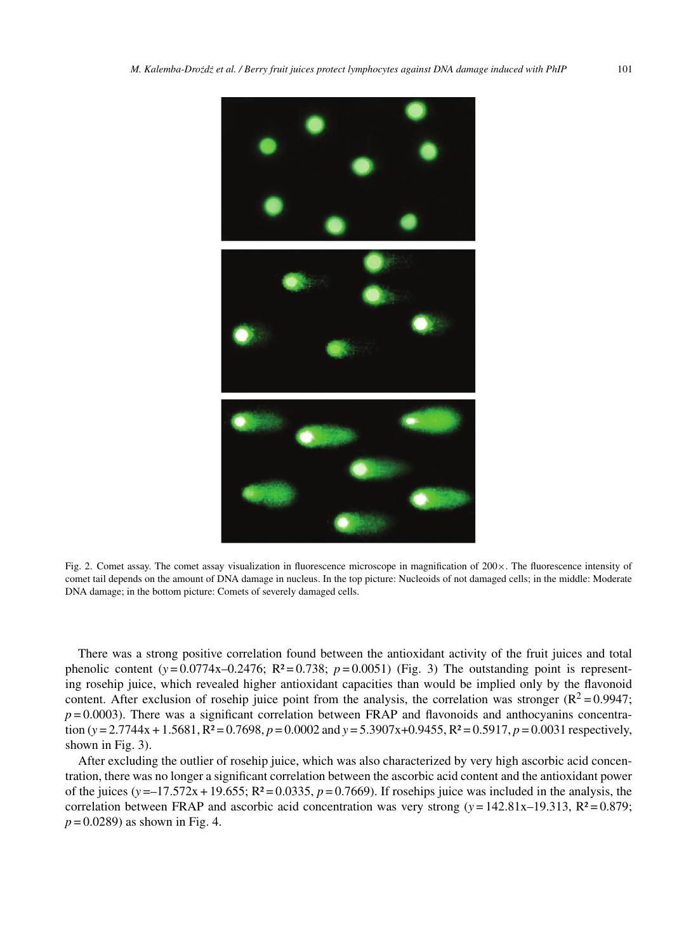

Fig. 2. Comet assay. The comet assay visualization in fluorescence microscope in magnification of 200×. The fluorescence intensity of comet tail depends on the amount of DNA damage in nucleus. In the top picture: Nucleoids of not damaged cells; in the middle: Moderate DNA damage; in the bottom picture: Comets of severely damaged cells.

There was a strong positive correlation found between the antioxidant activity of the fruit juices and total phenolic content  $(y=0.0774x-0.2476; R^2=0.738; p=0.0051)$  (Fig. 3) The outstanding point is representing rosehip juice, which revealed higher antioxidant capacities than would be implied only by the flavonoid content. After exclusion of rosehip juice point from the analysis, the correlation was stronger ( $R^2 = 0.9947$ ;  $p = 0.0003$ ). There was a significant correlation between FRAP and flavonoids and anthocyanins concentration (*y* = 2.7744x + 1.5681, R² = 0.7698, *p* = 0.0002 and *y* = 5.3907x+0.9455, R² = 0.5917, *p* = 0.0031 respectively, shown in Fig. 3).

After excluding the outlier of rosehip juice, which was also characterized by very high ascorbic acid concentration, there was no longer a significant correlation between the ascorbic acid content and the antioxidant power of the juices  $(y = -17.572x + 19.655; R^2 = 0.0335, p = 0.7669)$ . If rosehips juice was included in the analysis, the correlation between FRAP and ascorbic acid concentration was very strong  $(y = 142.81x - 19.313, R^2 = 0.879;$ *p* = 0.0289) as shown in Fig. 4.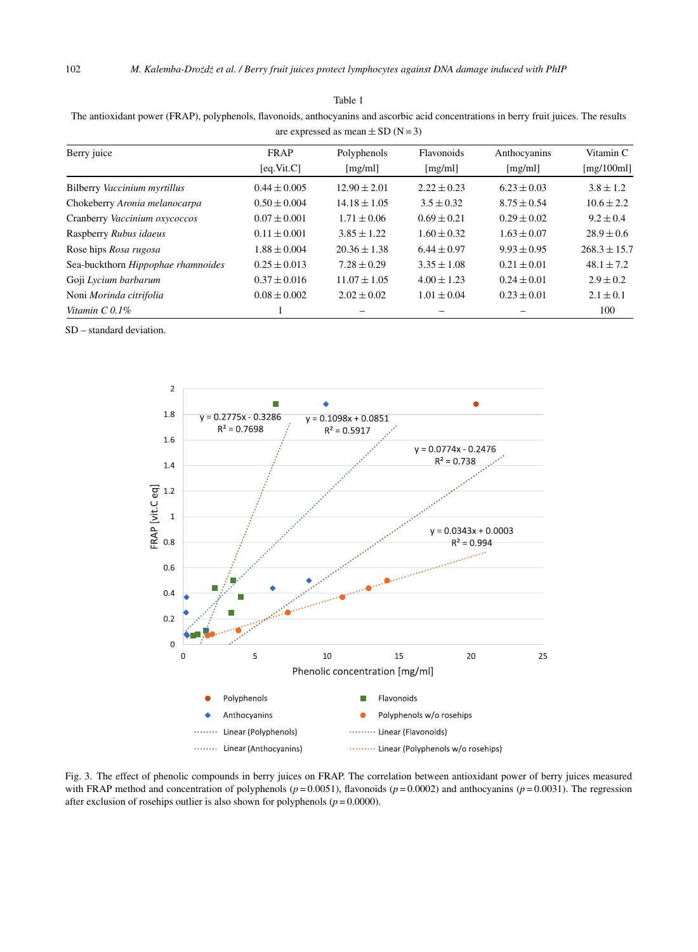Table 1 The antioxidant power (FRAP), polyphenols, flavonoids, anthocyanins and ascorbic acid concentrations in berry fruit juices. The results

| are expressed as mean $\pm$ SD (N = 3) |                           |                        |                       |                         |                             |  |  |  |  |
|----------------------------------------|---------------------------|------------------------|-----------------------|-------------------------|-----------------------------|--|--|--|--|
| Berry juice                            | <b>FRAP</b><br>[eq.Vit.C] | Polyphenols<br>[mg/ml] | Flavonoids<br>[mg/ml] | Anthocyanins<br>[mg/ml] | Vitamin C<br>[ $mg/100ml$ ] |  |  |  |  |
| Bilberry Vaccinium myrtillus           | $0.44 \pm 0.005$          | $12.90 \pm 2.01$       | $2.22 \pm 0.23$       | $6.23 \pm 0.03$         | $3.8 \pm 1.2$               |  |  |  |  |
| Chokeberry Aronia melanocarpa          | $0.50 \pm 0.004$          | $14.18 \pm 1.05$       | $3.5 \pm 0.32$        | $8.75 \pm 0.54$         | $10.6 \pm 2.2$              |  |  |  |  |
| Cranberry Vaccinium oxycoccos          | $0.07 \pm 0.001$          | $1.71 \pm 0.06$        | $0.69 \pm 0.21$       | $0.29 \pm 0.02$         | $9.2 \pm 0.4$               |  |  |  |  |
| Raspberry Rubus idaeus                 | $0.11 \pm 0.001$          | $3.85 \pm 1.22$        | $1.60 \pm 0.32$       | $1.63 \pm 0.07$         | $28.9 \pm 0.6$              |  |  |  |  |
| Rose hips Rosa rugosa                  | $1.88 \pm 0.004$          | $20.36 \pm 1.38$       | $6.44 \pm 0.97$       | $9.93 \pm 0.95$         | $268.3 \pm 15.7$            |  |  |  |  |
| Sea-buckthorn Hippophae rhamnoides     | $0.25 \pm 0.013$          | $7.28 \pm 0.29$        | $3.35 \pm 1.08$       | $0.21 \pm 0.01$         | $48.1 \pm 7.2$              |  |  |  |  |
| Goji Lycium barbarum                   | $0.37 \pm 0.016$          | $11.07 \pm 1.05$       | $4.00 \pm 1.23$       | $0.24 \pm 0.01$         | $2.9 \pm 0.2$               |  |  |  |  |
| Noni Morinda citrifolia                | $0.08 \pm 0.002$          | $2.02 \pm 0.02$        | $1.01 \pm 0.04$       | $0.23 \pm 0.01$         | $2.1 \pm 0.1$               |  |  |  |  |
| Vitamin $C$ 0.1%                       |                           |                        |                       |                         | 100                         |  |  |  |  |

SD – standard deviation.



Fig. 3. The effect of phenolic compounds in berry juices on FRAP. The correlation between antioxidant power of berry juices measured with FRAP method and concentration of polyphenols ( $p = 0.0051$ ), flavonoids ( $p = 0.0002$ ) and anthocyanins ( $p = 0.0031$ ). The regression after exclusion of rosehips outlier is also shown for polyphenols  $(p = 0.0000)$ .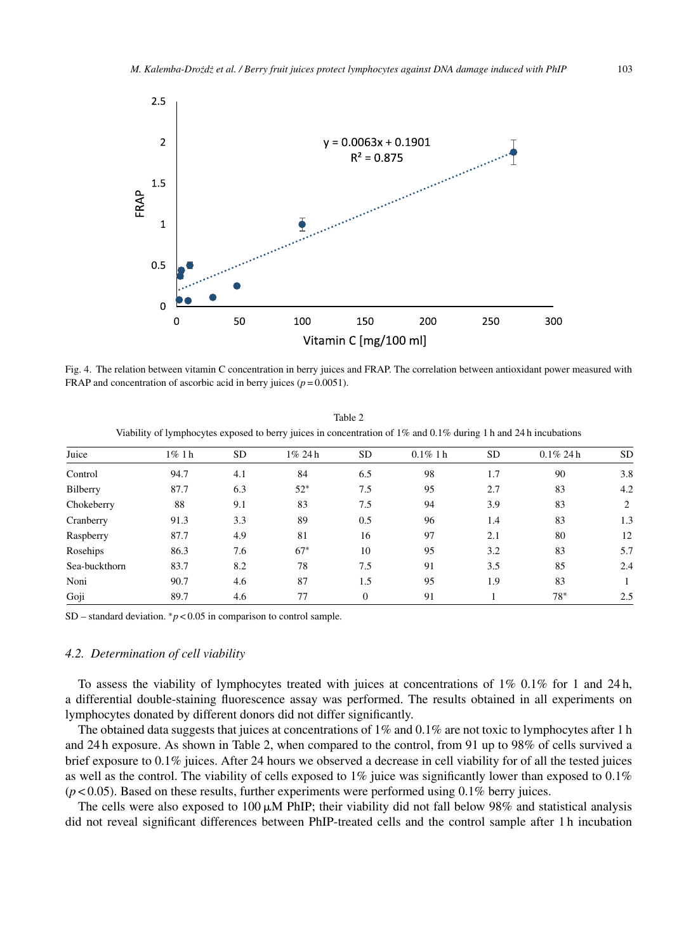

Fig. 4. The relation between vitamin C concentration in berry juices and FRAP. The correlation between antioxidant power measured with FRAP and concentration of ascorbic acid in berry juices  $(p = 0.0051)$ .

| viability of tymphocytes exposed to berry juices in concentration of 1% and 0.1% during 1 h and 24 h incubations |          |           |        |           |             |     |              |     |  |  |
|------------------------------------------------------------------------------------------------------------------|----------|-----------|--------|-----------|-------------|-----|--------------|-----|--|--|
| Juice                                                                                                            | $1\%$ 1h | <b>SD</b> | 1% 24h | <b>SD</b> | $0.1\%$ 1 h | SD. | $0.1\%$ 24 h | SD. |  |  |
| Control                                                                                                          | 94.7     | 4.1       | 84     | 6.5       | 98          | 1.7 | 90           | 3.8 |  |  |
| Bilberry                                                                                                         | 87.7     | 6.3       | $52*$  | 7.5       | 95          | 2.7 | 83           | 4.2 |  |  |
| Chokeberry                                                                                                       | 88       | 9.1       | 83     | 7.5       | 94          | 3.9 | 83           | 2   |  |  |
| Cranberry                                                                                                        | 91.3     | 3.3       | 89     | 0.5       | 96          | 1.4 | 83           | 1.3 |  |  |
| Raspberry                                                                                                        | 87.7     | 4.9       | 81     | 16        | 97          | 2.1 | 80           | 12  |  |  |
| Rosehips                                                                                                         | 86.3     | 7.6       | $67*$  | 10        | 95          | 3.2 | 83           | 5.7 |  |  |
| Sea-buckthorn                                                                                                    | 83.7     | 8.2       | 78     | 7.5       | 91          | 3.5 | 85           | 2.4 |  |  |
| Noni                                                                                                             | 90.7     | 4.6       | 87     | 1.5       | 95          | 1.9 | 83           |     |  |  |
| Goji                                                                                                             | 89.7     | 4.6       | 77     | $\Omega$  | 91          |     | 78*          | 2.5 |  |  |

Table 2 Viability of lymphocytes exposed to berry juices in concentration of 1% and 0.1% during 1 h and 24 h incubations

SD – standard deviation.  $\binom{6}{7}$  < 0.05 in comparison to control sample.

#### *4.2. Determination of cell viability*

To assess the viability of lymphocytes treated with juices at concentrations of  $1\%$  0.1% for 1 and 24 h, a differential double-staining fluorescence assay was performed. The results obtained in all experiments on lymphocytes donated by different donors did not differ significantly.

The obtained data suggests that juices at concentrations of 1% and 0.1% are not toxic to lymphocytes after 1 h and 24 h exposure. As shown in Table 2, when compared to the control, from 91 up to 98% of cells survived a brief exposure to 0.1% juices. After 24 hours we observed a decrease in cell viability for of all the tested juices as well as the control. The viability of cells exposed to 1% juice was significantly lower than exposed to 0.1% (*p* < 0.05). Based on these results, further experiments were performed using 0.1% berry juices.

The cells were also exposed to  $100 \mu M$  PhIP; their viability did not fall below 98% and statistical analysis did not reveal significant differences between PhIP-treated cells and the control sample after 1 h incubation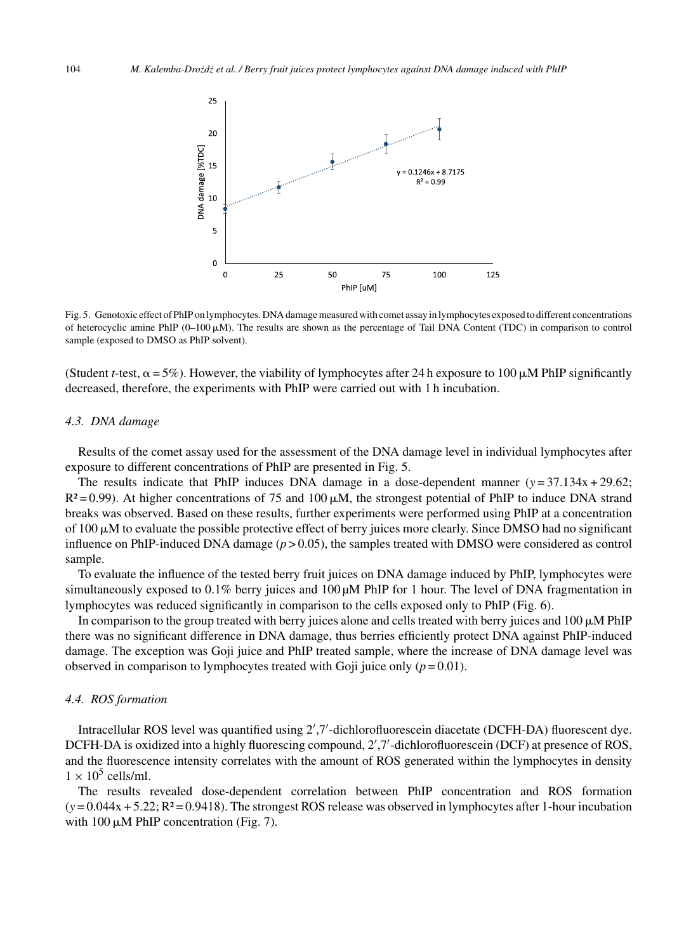

Fig. 5. Genotoxic effect of PhIP on lymphocytes. DNA damage measured with comet assay in lymphocytes exposed to different concentrations of heterocyclic amine PhIP  $(0-100 \mu M)$ . The results are shown as the percentage of Tail DNA Content (TDC) in comparison to control sample (exposed to DMSO as PhIP solvent).

(Student *t*-test,  $\alpha = 5\%$ ). However, the viability of lymphocytes after 24 h exposure to 100  $\mu$ M PhIP significantly decreased, therefore, the experiments with PhIP were carried out with 1 h incubation.

#### *4.3. DNA damage*

Results of the comet assay used for the assessment of the DNA damage level in individual lymphocytes after exposure to different concentrations of PhIP are presented in Fig. 5.

The results indicate that PhIP induces DNA damage in a dose-dependent manner  $(y = 37.134x + 29.62;$  $R^2 = 0.99$ ). At higher concentrations of 75 and 100  $\mu$ M, the strongest potential of PhIP to induce DNA strand breaks was observed. Based on these results, further experiments were performed using PhIP at a concentration of 100  $\mu$ M to evaluate the possible protective effect of berry juices more clearly. Since DMSO had no significant influence on PhIP-induced DNA damage  $(p > 0.05)$ , the samples treated with DMSO were considered as control sample.

To evaluate the influence of the tested berry fruit juices on DNA damage induced by PhIP, lymphocytes were simultaneously exposed to  $0.1\%$  berry juices and  $100 \mu M$  PhIP for 1 hour. The level of DNA fragmentation in lymphocytes was reduced significantly in comparison to the cells exposed only to PhIP (Fig. 6).

In comparison to the group treated with berry juices alone and cells treated with berry juices and  $100 \mu M$  PhIP there was no significant difference in DNA damage, thus berries efficiently protect DNA against PhIP-induced damage. The exception was Goji juice and PhIP treated sample, where the increase of DNA damage level was observed in comparison to lymphocytes treated with Goji juice only  $(p = 0.01)$ .

#### *4.4. ROS formation*

Intracellular ROS level was quantified using 2 ,7 -dichlorofluorescein diacetate (DCFH-DA) fluorescent dye. DCFH-DA is oxidized into a highly fluorescing compound, 2',7'-dichlorofluorescein (DCF) at presence of ROS, and the fluorescence intensity correlates with the amount of ROS generated within the lymphocytes in density  $1 \times 10^5$  cells/ml.

The results revealed dose-dependent correlation between PhIP concentration and ROS formation (*y* = 0.044x + 5.22; R² = 0.9418). The strongest ROS release was observed in lymphocytes after 1-hour incubation with  $100 \mu M$  PhIP concentration (Fig. 7).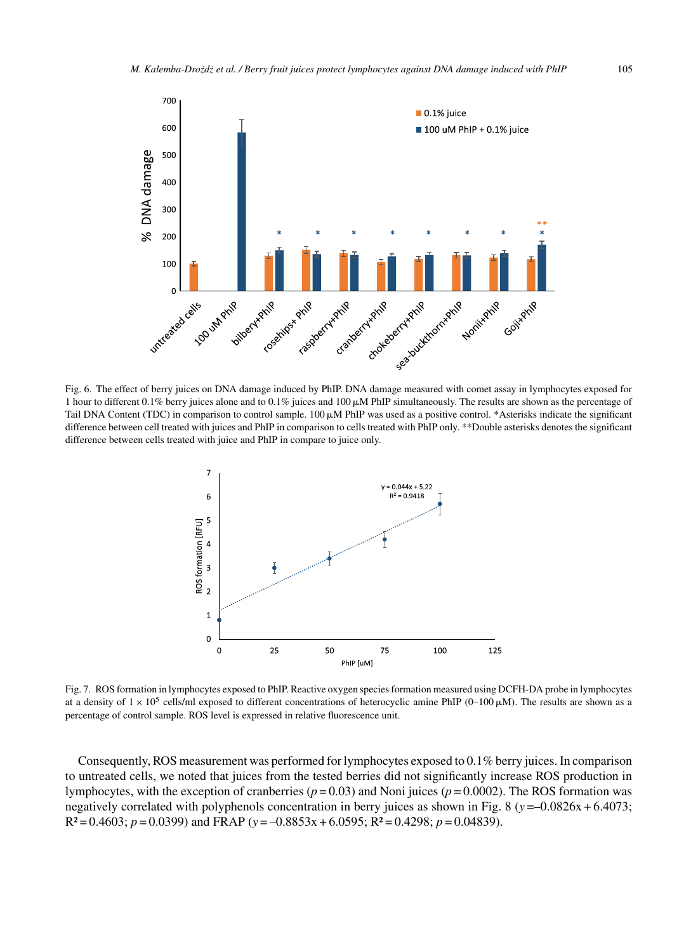

Fig. 6. The effect of berry juices on DNA damage induced by PhIP. DNA damage measured with comet assay in lymphocytes exposed for 1 hour to different 0.1% berry juices alone and to 0.1% juices and 100  $\mu$ M PhIP simultaneously. The results are shown as the percentage of Tail DNA Content (TDC) in comparison to control sample.  $100 \mu M$  PhIP was used as a positive control. \*Asterisks indicate the significant difference between cell treated with juices and PhIP in comparison to cells treated with PhIP only. \*\*Double asterisks denotes the significant difference between cells treated with juice and PhIP in compare to juice only.



Fig. 7. ROS formation in lymphocytes exposed to PhIP. Reactive oxygen species formation measured using DCFH-DA probe in lymphocytes at a density of  $1 \times 10^5$  cells/ml exposed to different concentrations of heterocyclic amine PhIP (0–100  $\mu$ M). The results are shown as a percentage of control sample. ROS level is expressed in relative fluorescence unit.

Consequently, ROS measurement was performed for lymphocytes exposed to 0.1% berry juices. In comparison to untreated cells, we noted that juices from the tested berries did not significantly increase ROS production in lymphocytes, with the exception of cranberries (*p* = 0.03) and Noni juices (*p* = 0.0002). The ROS formation was negatively correlated with polyphenols concentration in berry juices as shown in Fig. 8 (*y* =–0.0826x + 6.4073; R² = 0.4603; *p* = 0.0399) and FRAP (*y* = –0.8853x + 6.0595; R² = 0.4298; *p* = 0.04839).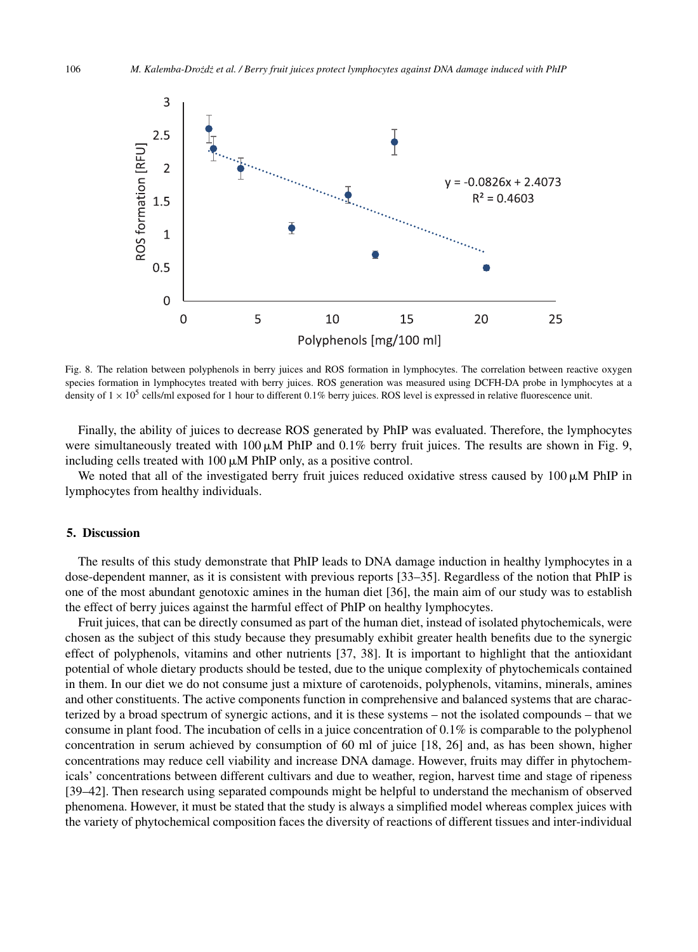

Fig. 8. The relation between polyphenols in berry juices and ROS formation in lymphocytes. The correlation between reactive oxygen species formation in lymphocytes treated with berry juices. ROS generation was measured using DCFH-DA probe in lymphocytes at a density of  $1 \times 10^5$  cells/ml exposed for 1 hour to different 0.1% berry juices. ROS level is expressed in relative fluorescence unit.

Finally, the ability of juices to decrease ROS generated by PhIP was evaluated. Therefore, the lymphocytes were simultaneously treated with 100  $\mu$ M PhIP and 0.1% berry fruit juices. The results are shown in Fig. 9, including cells treated with  $100 \mu M$  PhIP only, as a positive control.

We noted that all of the investigated berry fruit juices reduced oxidative stress caused by  $100 \mu M$  PhIP in lymphocytes from healthy individuals.

## **5. Discussion**

The results of this study demonstrate that PhIP leads to DNA damage induction in healthy lymphocytes in a dose-dependent manner, as it is consistent with previous reports [33–35]. Regardless of the notion that PhIP is one of the most abundant genotoxic amines in the human diet [36], the main aim of our study was to establish the effect of berry juices against the harmful effect of PhIP on healthy lymphocytes.

Fruit juices, that can be directly consumed as part of the human diet, instead of isolated phytochemicals, were chosen as the subject of this study because they presumably exhibit greater health benefits due to the synergic effect of polyphenols, vitamins and other nutrients [37, 38]. It is important to highlight that the antioxidant potential of whole dietary products should be tested, due to the unique complexity of phytochemicals contained in them. In our diet we do not consume just a mixture of carotenoids, polyphenols, vitamins, minerals, amines and other constituents. The active components function in comprehensive and balanced systems that are characterized by a broad spectrum of synergic actions, and it is these systems – not the isolated compounds – that we consume in plant food. The incubation of cells in a juice concentration of 0.1% is comparable to the polyphenol concentration in serum achieved by consumption of 60 ml of juice [18, 26] and, as has been shown, higher concentrations may reduce cell viability and increase DNA damage. However, fruits may differ in phytochemicals' concentrations between different cultivars and due to weather, region, harvest time and stage of ripeness [39–42]. Then research using separated compounds might be helpful to understand the mechanism of observed phenomena. However, it must be stated that the study is always a simplified model whereas complex juices with the variety of phytochemical composition faces the diversity of reactions of different tissues and inter-individual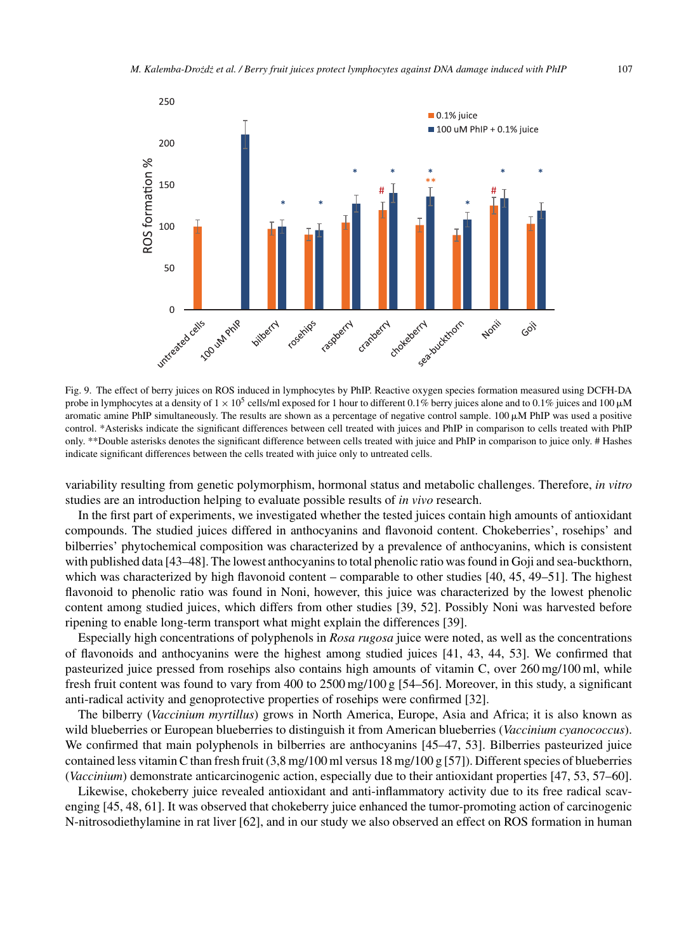

Fig. 9. The effect of berry juices on ROS induced in lymphocytes by PhIP. Reactive oxygen species formation measured using DCFH-DA probe in lymphocytes at a density of  $1 \times 10^5$  cells/ml exposed for 1 hour to different 0.1% berry juices alone and to 0.1% juices and 100  $\mu$ M aromatic amine PhIP simultaneously. The results are shown as a percentage of negative control sample.  $100 \mu M$  PhIP was used a positive control. \*Asterisks indicate the significant differences between cell treated with juices and PhIP in comparison to cells treated with PhIP only. \*\*Double asterisks denotes the significant difference between cells treated with juice and PhIP in comparison to juice only. # Hashes indicate significant differences between the cells treated with juice only to untreated cells.

variability resulting from genetic polymorphism, hormonal status and metabolic challenges. Therefore, *in vitro* studies are an introduction helping to evaluate possible results of *in vivo* research.

In the first part of experiments, we investigated whether the tested juices contain high amounts of antioxidant compounds. The studied juices differed in anthocyanins and flavonoid content. Chokeberries', rosehips' and bilberries' phytochemical composition was characterized by a prevalence of anthocyanins, which is consistent with published data [43–48]. The lowest anthocyanins to total phenolic ratio was found in Goji and sea-buckthorn, which was characterized by high flavonoid content – comparable to other studies [40, 45, 49–51]. The highest flavonoid to phenolic ratio was found in Noni, however, this juice was characterized by the lowest phenolic content among studied juices, which differs from other studies [39, 52]. Possibly Noni was harvested before ripening to enable long-term transport what might explain the differences [39].

Especially high concentrations of polyphenols in *Rosa rugosa* juice were noted, as well as the concentrations of flavonoids and anthocyanins were the highest among studied juices [41, 43, 44, 53]. We confirmed that pasteurized juice pressed from rosehips also contains high amounts of vitamin C, over 260 mg/100 ml, while fresh fruit content was found to vary from 400 to 2500 mg/100 g [54–56]. Moreover, in this study, a significant anti-radical activity and genoprotective properties of rosehips were confirmed [32].

The bilberry (*Vaccinium myrtillus*) grows in North America, Europe, Asia and Africa; it is also known as wild blueberries or European blueberries to distinguish it from American blueberries (*Vaccinium cyanococcus*). We confirmed that main polyphenols in bilberries are anthocyanins [45–47, 53]. Bilberries pasteurized juice contained less vitamin C than fresh fruit  $(3.8 \text{ mg}/100 \text{ ml} \text{ versus } 18 \text{ mg}/100 \text{ g} [57])$ . Different species of blueberries (*Vaccinium*) demonstrate anticarcinogenic action, especially due to their antioxidant properties [47, 53, 57–60].

Likewise, chokeberry juice revealed antioxidant and anti-inflammatory activity due to its free radical scavenging [45, 48, 61]. It was observed that chokeberry juice enhanced the tumor-promoting action of carcinogenic N-nitrosodiethylamine in rat liver [62], and in our study we also observed an effect on ROS formation in human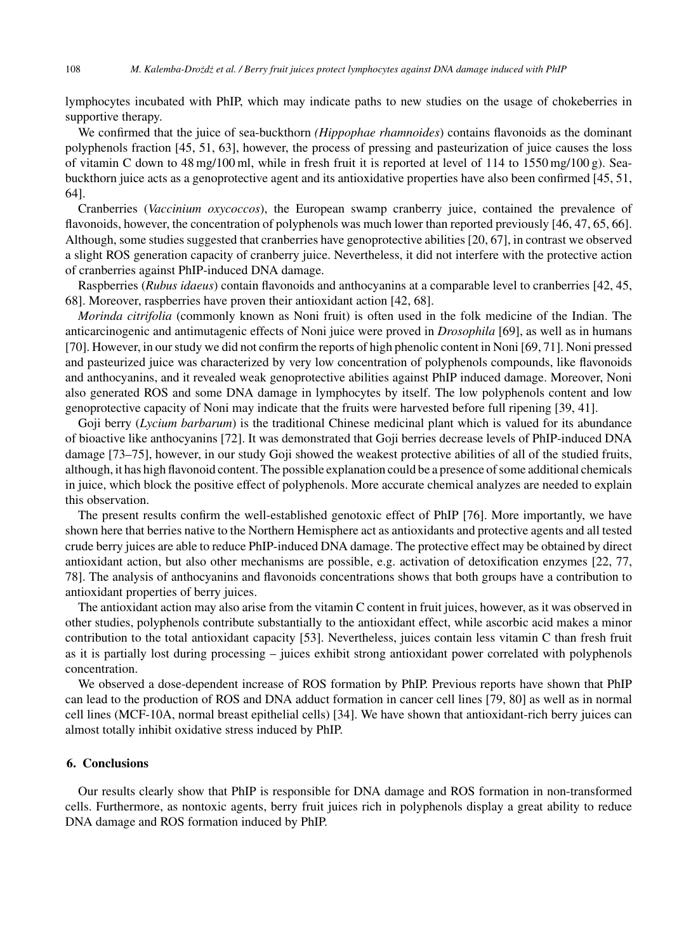lymphocytes incubated with PhIP, which may indicate paths to new studies on the usage of chokeberries in supportive therapy.

We confirmed that the juice of sea-buckthorn *(Hippophae rhamnoides*) contains flavonoids as the dominant polyphenols fraction [45, 51, 63], however, the process of pressing and pasteurization of juice causes the loss of vitamin C down to 48 mg/100 ml, while in fresh fruit it is reported at level of 114 to 1550 mg/100 g). Seabuckthorn juice acts as a genoprotective agent and its antioxidative properties have also been confirmed [45, 51, 64].

Cranberries (*Vaccinium oxycoccos*), the European swamp cranberry juice, contained the prevalence of flavonoids, however, the concentration of polyphenols was much lower than reported previously [46, 47, 65, 66]. Although, some studies suggested that cranberries have genoprotective abilities [20, 67], in contrast we observed a slight ROS generation capacity of cranberry juice. Nevertheless, it did not interfere with the protective action of cranberries against PhIP-induced DNA damage.

Raspberries (*Rubus idaeus*) contain flavonoids and anthocyanins at a comparable level to cranberries [42, 45, 68]. Moreover, raspberries have proven their antioxidant action [42, 68].

*Morinda citrifolia* (commonly known as Noni fruit) is often used in the folk medicine of the Indian. The anticarcinogenic and antimutagenic effects of Noni juice were proved in *Drosophila* [69], as well as in humans [70]. However, in our study we did not confirm the reports of high phenolic content in Noni [69, 71]. Noni pressed and pasteurized juice was characterized by very low concentration of polyphenols compounds, like flavonoids and anthocyanins, and it revealed weak genoprotective abilities against PhIP induced damage. Moreover, Noni also generated ROS and some DNA damage in lymphocytes by itself. The low polyphenols content and low genoprotective capacity of Noni may indicate that the fruits were harvested before full ripening [39, 41].

Goji berry (*Lycium barbarum*) is the traditional Chinese medicinal plant which is valued for its abundance of bioactive like anthocyanins [72]. It was demonstrated that Goji berries decrease levels of PhIP-induced DNA damage [73–75], however, in our study Goji showed the weakest protective abilities of all of the studied fruits, although, it has high flavonoid content. The possible explanation could be a presence of some additional chemicals in juice, which block the positive effect of polyphenols. More accurate chemical analyzes are needed to explain this observation.

The present results confirm the well-established genotoxic effect of PhIP [76]. More importantly, we have shown here that berries native to the Northern Hemisphere act as antioxidants and protective agents and all tested crude berry juices are able to reduce PhIP-induced DNA damage. The protective effect may be obtained by direct antioxidant action, but also other mechanisms are possible, e.g. activation of detoxification enzymes [22, 77, 78]. The analysis of anthocyanins and flavonoids concentrations shows that both groups have a contribution to antioxidant properties of berry juices.

The antioxidant action may also arise from the vitamin C content in fruit juices, however, as it was observed in other studies, polyphenols contribute substantially to the antioxidant effect, while ascorbic acid makes a minor contribution to the total antioxidant capacity [53]. Nevertheless, juices contain less vitamin C than fresh fruit as it is partially lost during processing – juices exhibit strong antioxidant power correlated with polyphenols concentration.

We observed a dose-dependent increase of ROS formation by PhIP. Previous reports have shown that PhIP can lead to the production of ROS and DNA adduct formation in cancer cell lines [79, 80] as well as in normal cell lines (MCF-10A, normal breast epithelial cells) [34]. We have shown that antioxidant-rich berry juices can almost totally inhibit oxidative stress induced by PhIP.

#### **6. Conclusions**

Our results clearly show that PhIP is responsible for DNA damage and ROS formation in non-transformed cells. Furthermore, as nontoxic agents, berry fruit juices rich in polyphenols display a great ability to reduce DNA damage and ROS formation induced by PhIP.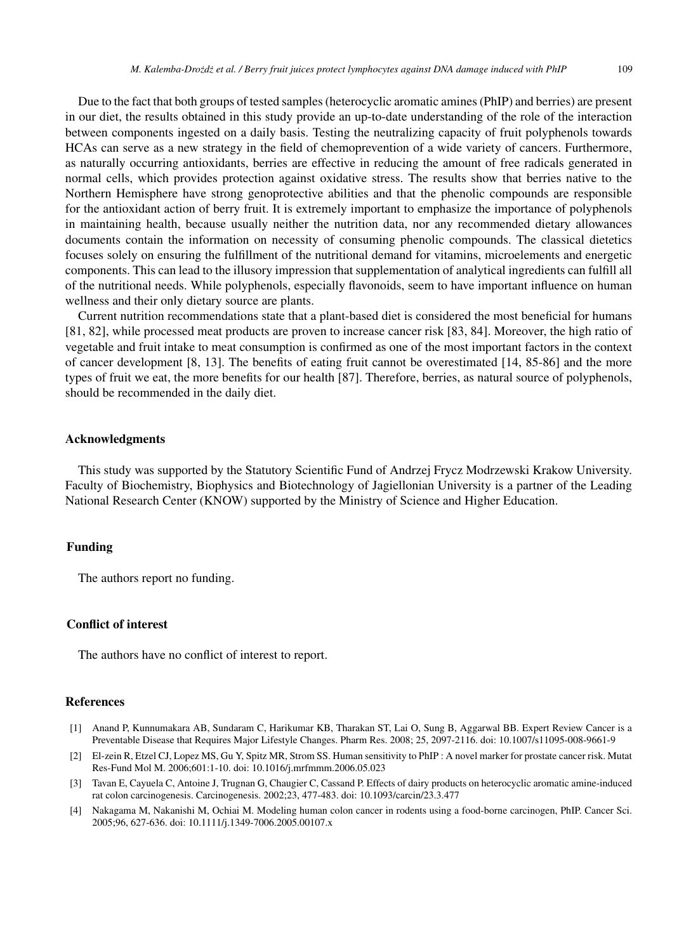Due to the fact that both groups of tested samples (heterocyclic aromatic amines (PhIP) and berries) are present in our diet, the results obtained in this study provide an up-to-date understanding of the role of the interaction between components ingested on a daily basis. Testing the neutralizing capacity of fruit polyphenols towards HCAs can serve as a new strategy in the field of chemoprevention of a wide variety of cancers. Furthermore, as naturally occurring antioxidants, berries are effective in reducing the amount of free radicals generated in normal cells, which provides protection against oxidative stress. The results show that berries native to the Northern Hemisphere have strong genoprotective abilities and that the phenolic compounds are responsible for the antioxidant action of berry fruit. It is extremely important to emphasize the importance of polyphenols in maintaining health, because usually neither the nutrition data, nor any recommended dietary allowances documents contain the information on necessity of consuming phenolic compounds. The classical dietetics focuses solely on ensuring the fulfillment of the nutritional demand for vitamins, microelements and energetic components. This can lead to the illusory impression that supplementation of analytical ingredients can fulfill all of the nutritional needs. While polyphenols, especially flavonoids, seem to have important influence on human wellness and their only dietary source are plants.

Current nutrition recommendations state that a plant-based diet is considered the most beneficial for humans [81, 82], while processed meat products are proven to increase cancer risk [83, 84]. Moreover, the high ratio of vegetable and fruit intake to meat consumption is confirmed as one of the most important factors in the context of cancer development [8, 13]. The benefits of eating fruit cannot be overestimated [14, 85-86] and the more types of fruit we eat, the more benefits for our health [87]. Therefore, berries, as natural source of polyphenols, should be recommended in the daily diet.

#### **Acknowledgments**

This study was supported by the Statutory Scientific Fund of Andrzej Frycz Modrzewski Krakow University. Faculty of Biochemistry, Biophysics and Biotechnology of Jagiellonian University is a partner of the Leading National Research Center (KNOW) supported by the Ministry of Science and Higher Education.

# **Funding**

The authors report no funding.

#### **Conflict of interest**

The authors have no conflict of interest to report.

# **References**

- [1] Anand P, Kunnumakara AB, Sundaram C, Harikumar KB, Tharakan ST, Lai O, Sung B, Aggarwal BB. Expert Review Cancer is a Preventable Disease that Requires Major Lifestyle Changes. Pharm Res. 2008; 25, 2097-2116. doi: 10.1007/s11095-008-9661-9
- [2] El-zein R, Etzel CJ, Lopez MS, Gu Y, Spitz MR, Strom SS. Human sensitivity to PhIP : A novel marker for prostate cancer risk. Mutat Res-Fund Mol M. 2006;601:1-10. doi: 10.1016/j.mrfmmm.2006.05.023
- [3] Tavan E, Cayuela C, Antoine J, Trugnan G, Chaugier C, Cassand P. Effects of dairy products on heterocyclic aromatic amine-induced rat colon carcinogenesis. Carcinogenesis. 2002;23, 477-483. doi: 10.1093/carcin/23.3.477
- [4] Nakagama M, Nakanishi M, Ochiai M. Modeling human colon cancer in rodents using a food-borne carcinogen, PhIP. Cancer Sci. 2005;96, 627-636. doi: 10.1111/j.1349-7006.2005.00107.x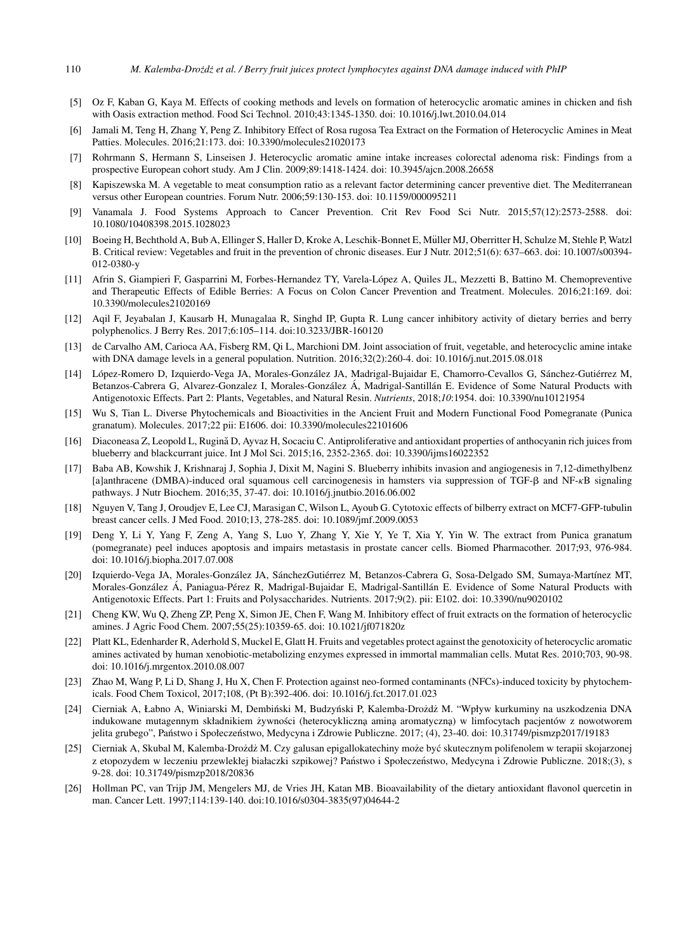- [5] Oz F, Kaban G, Kaya M. Effects of cooking methods and levels on formation of heterocyclic aromatic amines in chicken and fish with Oasis extraction method. Food Sci Technol. 2010;43:1345-1350. doi: 10.1016/j.lwt.2010.04.014
- [6] Jamali M, Teng H, Zhang Y, Peng Z. Inhibitory Effect of Rosa rugosa Tea Extract on the Formation of Heterocyclic Amines in Meat Patties. Molecules. 2016;21:173. doi: 10.3390/molecules21020173
- [7] Rohrmann S, Hermann S, Linseisen J. Heterocyclic aromatic amine intake increases colorectal adenoma risk: Findings from a prospective European cohort study. Am J Clin. 2009;89:1418-1424. doi: 10.3945/ajcn.2008.26658
- [8] Kapiszewska M. A vegetable to meat consumption ratio as a relevant factor determining cancer preventive diet. The Mediterranean versus other European countries. Forum Nutr. 2006;59:130-153. doi: 10.1159/000095211
- [9] Vanamala J. Food Systems Approach to Cancer Prevention. Crit Rev Food Sci Nutr. 2015;57(12):2573-2588. doi: 10.1080/10408398.2015.1028023
- [10] Boeing H, Bechthold A, Bub A, Ellinger S, Haller D, Kroke A, Leschik-Bonnet E, Muller MJ, Oberritter H, Schulze M, Stehle P, Watzl ¨ B. Critical review: Vegetables and fruit in the prevention of chronic diseases. Eur J Nutr. 2012;51(6): 637–663. doi: 10.1007/s00394- 012-0380-y
- [11] Afrin S, Giampieri F, Gasparrini M, Forbes-Hernandez TY, Varela-Lopez A, Quiles JL, Mezzetti B, Battino M. Chemopreventive ´ and Therapeutic Effects of Edible Berries: A Focus on Colon Cancer Prevention and Treatment. Molecules. 2016;21:169. doi: 10.3390/molecules21020169
- [12] Aqil F, Jeyabalan J, Kausarb H, Munagalaa R, Singhd IP, Gupta R. Lung cancer inhibitory activity of dietary berries and berry polyphenolics. J Berry Res. 2017;6:105–114. doi:10.3233/JBR-160120
- [13] de Carvalho AM, Carioca AA, Fisberg RM, Qi L, Marchioni DM. Joint association of fruit, vegetable, and heterocyclic amine intake with DNA damage levels in a general population. Nutrition. 2016;32(2):260-4. doi: 10.1016/j.nut.2015.08.018
- [14] López-Romero D, Izquierdo-Vega JA, Morales-González JA, Madrigal-Bujaidar E, Chamorro-Cevallos G, Sánchez-Gutiérrez M, Betanzos-Cabrera G, Alvarez-Gonzalez I, Morales-González Á, Madrigal-Santillán E. Evidence of Some Natural Products with Antigenotoxic Effects. Part 2: Plants, Vegetables, and Natural Resin. *Nutrients*, 2018;*10*:1954. doi: 10.3390/nu10121954
- [15] Wu S, Tian L. Diverse Phytochemicals and Bioactivities in the Ancient Fruit and Modern Functional Food Pomegranate (Punica granatum). Molecules. 2017;22 pii: E1606. doi: 10.3390/molecules22101606
- [16] Diaconeasa Z, Leopold L, Rugina D, Ayvaz H, Socaciu C. Antiproliferative and antioxidant properties of anthocyanin rich juices from ˘ blueberry and blackcurrant juice. Int J Mol Sci. 2015;16, 2352-2365. doi: 10.3390/ijms16022352
- [17] Baba AB, Kowshik J, Krishnaraj J, Sophia J, Dixit M, Nagini S. Blueberry inhibits invasion and angiogenesis in 7,12-dimethylbenz [a]anthracene (DMBA)-induced oral squamous cell carcinogenesis in hamsters via suppression of TGF-β and NF-κB signaling pathways. J Nutr Biochem. 2016;35, 37-47. doi: 10.1016/j.jnutbio.2016.06.002
- [18] Nguyen V, Tang J, Oroudjev E, Lee CJ, Marasigan C, Wilson L, Ayoub G. Cytotoxic effects of bilberry extract on MCF7-GFP-tubulin breast cancer cells. J Med Food. 2010;13, 278-285. doi: 10.1089/jmf.2009.0053
- [19] Deng Y, Li Y, Yang F, Zeng A, Yang S, Luo Y, Zhang Y, Xie Y, Ye T, Xia Y, Yin W. The extract from Punica granatum (pomegranate) peel induces apoptosis and impairs metastasis in prostate cancer cells. Biomed Pharmacother. 2017;93, 976-984. doi: 10.1016/j.biopha.2017.07.008
- [20] Izquierdo-Vega JA, Morales-González JA, SánchezGutiérrez M, Betanzos-Cabrera G, Sosa-Delgado SM, Sumaya-Martínez MT, Morales-González Á, Paniagua-Pérez R, Madrigal-Bujaidar E, Madrigal-Santillán E. Evidence of Some Natural Products with Antigenotoxic Effects. Part 1: Fruits and Polysaccharides. Nutrients. 2017;9(2). pii: E102. doi: 10.3390/nu9020102
- [21] Cheng KW, Wu Q, Zheng ZP, Peng X, Simon JE, Chen F, Wang M. Inhibitory effect of fruit extracts on the formation of heterocyclic amines. J Agric Food Chem. 2007;55(25):10359-65. doi: 10.1021/jf071820z
- [22] Platt KL, Edenharder R, Aderhold S, Muckel E, Glatt H. Fruits and vegetables protect against the genotoxicity of heterocyclic aromatic amines activated by human xenobiotic-metabolizing enzymes expressed in immortal mammalian cells. Mutat Res. 2010;703, 90-98. doi: 10.1016/j.mrgentox.2010.08.007
- [23] Zhao M, Wang P, Li D, Shang J, Hu X, Chen F. Protection against neo-formed contaminants (NFCs)-induced toxicity by phytochemicals. Food Chem Toxicol, 2017;108, (Pt B):392-406. doi: 10.1016/j.fct.2017.01.023
- [24] Cierniak A, Łabno A, Winiarski M, Dembiński M, Budzyński P, Kalemba-Drożdż M. "Wpływ kurkuminy na uszkodzenia DNA indukowane mutagennym składnikiem żywności (heterocykliczna amina aromatyczna) w limfocytach pacjentów z nowotworem jelita grubego", Państwo i Społeczeństwo, Medycyna i Zdrowie Publiczne. 2017; (4), 23-40. doi: 10.31749/pismzp2017/19183
- [25] Cierniak A, Skubal M, Kalemba-Drożdż M. Czy galusan epigallokatechiny może być skutecznym polifenolem w terapii skojarzonej z etopozydem w leczeniu przewlekłej białaczki szpikowej? Państwo i Społeczeństwo, Medycyna i Zdrowie Publiczne. 2018;(3), s 9-28. doi: 10.31749/pismzp2018/20836
- [26] Hollman PC, van Trijp JM, Mengelers MJ, de Vries JH, Katan MB. Bioavailability of the dietary antioxidant flavonol quercetin in man. Cancer Lett. 1997;114:139-140. doi:10.1016/s0304-3835(97)04644-2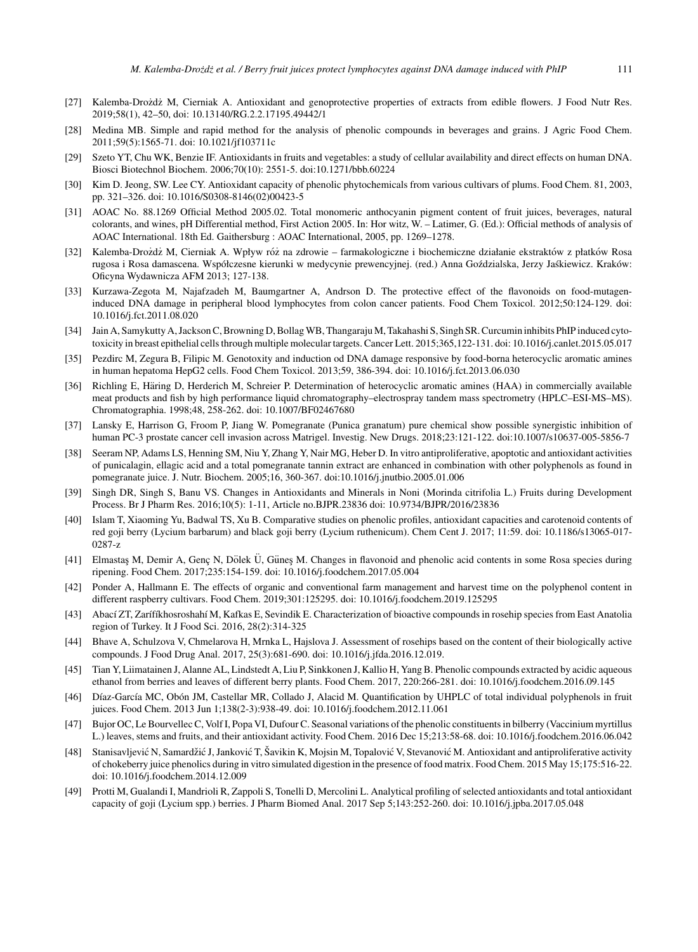- [27] Kalemba-Drożdż M, Cierniak A. Antioxidant and genoprotective properties of extracts from edible flowers. J Food Nutr Res. 2019;58(1), 42–50, doi: 10.13140/RG.2.2.17195.49442/1
- [28] Medina MB. Simple and rapid method for the analysis of phenolic compounds in beverages and grains. J Agric Food Chem. 2011;59(5):1565-71. doi: 10.1021/jf103711c
- [29] Szeto YT, Chu WK, Benzie IF. Antioxidants in fruits and vegetables: a study of cellular availability and direct effects on human DNA. Biosci Biotechnol Biochem. 2006;70(10): 2551-5. doi:10.1271/bbb.60224
- [30] Kim D. Jeong, SW. Lee CY. Antioxidant capacity of phenolic phytochemicals from various cultivars of plums. Food Chem. 81, 2003, pp. 321–326. doi: 10.1016/S0308-8146(02)00423-5
- [31] AOAC No. 88.1269 Official Method 2005.02. Total monomeric anthocyanin pigment content of fruit juices, beverages, natural colorants, and wines, pH Differential method, First Action 2005. In: Hor witz, W. – Latimer, G. (Ed.): Official methods of analysis of AOAC International. 18th Ed. Gaithersburg : AOAC International, 2005, pp. 1269–1278.
- [32] Kalemba-Drożdż M, Cierniak A. Wpływ róż na zdrowie farmakologiczne i biochemiczne działanie ekstraktów z płatków Rosa rugosa i Rosa damascena. Współczesne kierunki w medycynie prewencyjnej. (red.) Anna Goździalska, Jerzy Jaśkiewicz. Kraków: Oficyna Wydawnicza AFM 2013; 127-138.
- [33] Kurzawa-Zegota M, Najafzadeh M, Baumgartner A, Andrson D. The protective effect of the flavonoids on food-mutageninduced DNA damage in peripheral blood lymphocytes from colon cancer patients. Food Chem Toxicol. 2012;50:124-129. doi: 10.1016/j.fct.2011.08.020
- [34] Jain A, Samykutty A, Jackson C, Browning D, Bollag WB, Thangaraju M, Takahashi S, Singh SR. Curcumin inhibits PhIP induced cytotoxicity in breast epithelial cells through multiple molecular targets. Cancer Lett. 2015;365,122-131. doi: 10.1016/j.canlet.2015.05.017
- [35] Pezdirc M, Zegura B, Filipic M. Genotoxity and induction od DNA damage responsive by food-borna heterocyclic aromatic amines in human hepatoma HepG2 cells. Food Chem Toxicol. 2013;59, 386-394. doi: 10.1016/j.fct.2013.06.030
- [36] Richling E, Häring D, Herderich M, Schreier P. Determination of heterocyclic aromatic amines (HAA) in commercially available meat products and fish by high performance liquid chromatography–electrospray tandem mass spectrometry (HPLC–ESI-MS–MS). Chromatographia. 1998;48, 258-262. doi: 10.1007/BF02467680
- [37] Lansky E, Harrison G, Froom P, Jiang W. Pomegranate (Punica granatum) pure chemical show possible synergistic inhibition of human PC-3 prostate cancer cell invasion across Matrigel. Investig. New Drugs. 2018;23:121-122. doi:10.1007/s10637-005-5856-7
- [38] Seeram NP, Adams LS, Henning SM, Niu Y, Zhang Y, Nair MG, Heber D. In vitro antiproliferative, apoptotic and antioxidant activities of punicalagin, ellagic acid and a total pomegranate tannin extract are enhanced in combination with other polyphenols as found in pomegranate juice. J. Nutr. Biochem. 2005;16, 360-367. doi:10.1016/j.jnutbio.2005.01.006
- [39] Singh DR, Singh S, Banu VS. Changes in Antioxidants and Minerals in Noni (Morinda citrifolia L.) Fruits during Development Process. Br J Pharm Res. 2016;10(5): 1-11, Article no.BJPR.23836 doi: 10.9734/BJPR/2016/23836
- [40] Islam T, Xiaoming Yu, Badwal TS, Xu B. Comparative studies on phenolic profiles, antioxidant capacities and carotenoid contents of red goji berry (Lycium barbarum) and black goji berry (Lycium ruthenicum). Chem Cent J. 2017; 11:59. doi: 10.1186/s13065-017- 0287-z
- [41] Elmastas M, Demir A, Genç N, Dölek Ü, Güneş M. Changes in flavonoid and phenolic acid contents in some Rosa species during ripening. Food Chem. 2017;235:154-159. doi: 10.1016/j.foodchem.2017.05.004
- [42] Ponder A, Hallmann E. The effects of organic and conventional farm management and harvest time on the polyphenol content in different raspberry cultivars. Food Chem. 2019;301:125295. doi: 10.1016/j.foodchem.2019.125295
- [43] Abací ZT, Zarífíkhosroshahí M, Kafkas E, Sevindik E. Characterization of bioactive compounds in rosehip species from East Anatolia region of Turkey. It J Food Sci. 2016, 28(2):314-325
- [44] Bhave A, Schulzova V, Chmelarova H, Mrnka L, Hajslova J. Assessment of rosehips based on the content of their biologically active compounds. J Food Drug Anal. 2017, 25(3):681-690. doi: 10.1016/j.jfda.2016.12.019.
- [45] Tian Y, Liimatainen J, Alanne AL, Lindstedt A, Liu P, Sinkkonen J, Kallio H, Yang B. Phenolic compounds extracted by acidic aqueous ethanol from berries and leaves of different berry plants. Food Chem. 2017, 220:266-281. doi: 10.1016/j.foodchem.2016.09.145
- [46] Díaz-García MC, Obón JM, Castellar MR, Collado J, Alacid M. Quantification by UHPLC of total individual polyphenols in fruit juices. Food Chem. 2013 Jun 1;138(2-3):938-49. doi: 10.1016/j.foodchem.2012.11.061
- [47] Bujor OC, Le Bourvellec C, Volf I, Popa VI, Dufour C. Seasonal variations of the phenolic constituents in bilberry (Vaccinium myrtillus L.) leaves, stems and fruits, and their antioxidant activity. Food Chem. 2016 Dec 15;213:58-68. doi: 10.1016/j.foodchem.2016.06.042
- [48] Stanisavljević N, Samardžić J, Janković T, Šavikin K, Mojsin M, Topalović V, Stevanović M. Antioxidant and antiproliferative activity of chokeberry juice phenolics during in vitro simulated digestion in the presence of food matrix. Food Chem. 2015 May 15;175:516-22. doi: 10.1016/j.foodchem.2014.12.009
- [49] Protti M, Gualandi I, Mandrioli R, Zappoli S, Tonelli D, Mercolini L. Analytical profiling of selected antioxidants and total antioxidant capacity of goji (Lycium spp.) berries. J Pharm Biomed Anal. 2017 Sep 5;143:252-260. doi: 10.1016/j.jpba.2017.05.048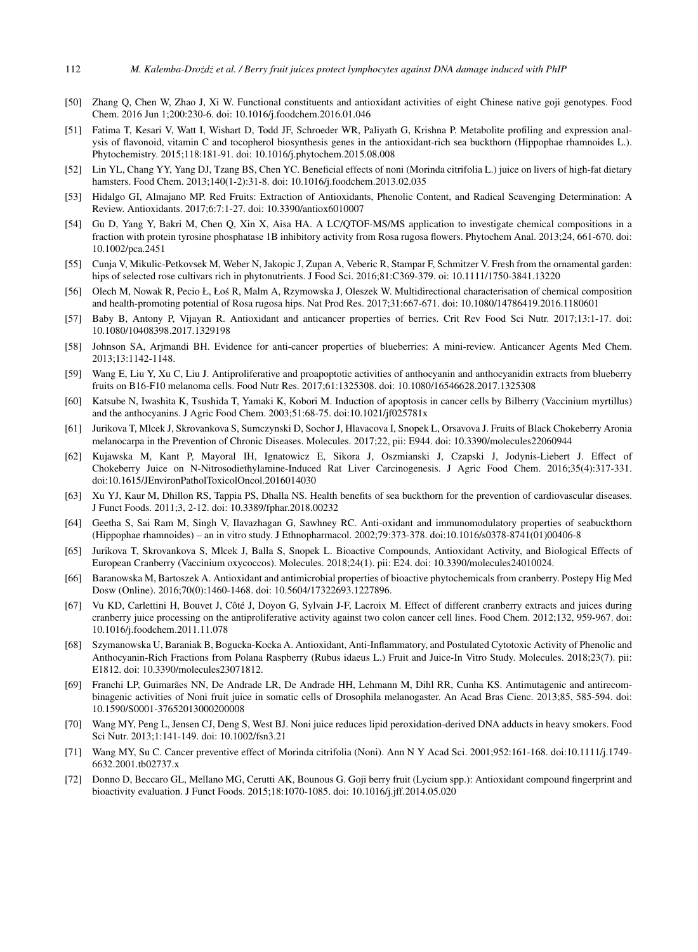- [50] Zhang Q, Chen W, Zhao J, Xi W. Functional constituents and antioxidant activities of eight Chinese native goji genotypes. Food Chem. 2016 Jun 1;200:230-6. doi: 10.1016/j.foodchem.2016.01.046
- [51] Fatima T, Kesari V, Watt I, Wishart D, Todd JF, Schroeder WR, Paliyath G, Krishna P. Metabolite profiling and expression analysis of flavonoid, vitamin C and tocopherol biosynthesis genes in the antioxidant-rich sea buckthorn (Hippophae rhamnoides L.). Phytochemistry. 2015;118:181-91. doi: 10.1016/j.phytochem.2015.08.008
- [52] Lin YL, Chang YY, Yang DJ, Tzang BS, Chen YC. Beneficial effects of noni (Morinda citrifolia L.) juice on livers of high-fat dietary hamsters. Food Chem. 2013;140(1-2):31-8. doi: 10.1016/j.foodchem.2013.02.035
- [53] Hidalgo GI, Almajano MP. Red Fruits: Extraction of Antioxidants, Phenolic Content, and Radical Scavenging Determination: A Review. Antioxidants. 2017;6:7:1-27. doi: 10.3390/antiox6010007
- [54] Gu D, Yang Y, Bakri M, Chen Q, Xin X, Aisa HA. A LC/QTOF-MS/MS application to investigate chemical compositions in a fraction with protein tyrosine phosphatase 1B inhibitory activity from Rosa rugosa flowers. Phytochem Anal. 2013;24, 661-670. doi: 10.1002/pca.2451
- [55] Cunja V, Mikulic-Petkovsek M, Weber N, Jakopic J, Zupan A, Veberic R, Stampar F, Schmitzer V. Fresh from the ornamental garden: hips of selected rose cultivars rich in phytonutrients. J Food Sci. 2016;81:C369-379. oi: 10.1111/1750-3841.13220
- [56] Olech M, Nowak R, Pecio Ł, Łos R, Malm A, Rzymowska J, Oleszek W. Multidirectional characterisation of chemical composition ´ and health-promoting potential of Rosa rugosa hips. Nat Prod Res. 2017;31:667-671. doi: 10.1080/14786419.2016.1180601
- [57] Baby B, Antony P, Vijayan R. Antioxidant and anticancer properties of berries. Crit Rev Food Sci Nutr. 2017;13:1-17. doi: 10.1080/10408398.2017.1329198
- [58] Johnson SA, Arjmandi BH. Evidence for anti-cancer properties of blueberries: A mini-review. Anticancer Agents Med Chem. 2013;13:1142-1148.
- [59] Wang E, Liu Y, Xu C, Liu J. Antiproliferative and proapoptotic activities of anthocyanin and anthocyanidin extracts from blueberry fruits on B16-F10 melanoma cells. Food Nutr Res. 2017;61:1325308. doi: 10.1080/16546628.2017.1325308
- [60] Katsube N, Iwashita K, Tsushida T, Yamaki K, Kobori M. Induction of apoptosis in cancer cells by Bilberry (Vaccinium myrtillus) and the anthocyanins. J Agric Food Chem. 2003;51:68-75. doi:10.1021/jf025781x
- [61] Jurikova T, Mlcek J, Skrovankova S, Sumczynski D, Sochor J, Hlavacova I, Snopek L, Orsavova J. Fruits of Black Chokeberry Aronia melanocarpa in the Prevention of Chronic Diseases. Molecules. 2017;22, pii: E944. doi: 10.3390/molecules22060944
- [62] Kujawska M, Kant P, Mayoral IH, Ignatowicz E, Sikora J, Oszmianski J, Czapski J, Jodynis-Liebert J. Effect of Chokeberry Juice on N-Nitrosodiethylamine-Induced Rat Liver Carcinogenesis. J Agric Food Chem. 2016;35(4):317-331. doi:10.1615/JEnvironPatholToxicolOncol.2016014030
- [63] Xu YJ, Kaur M, Dhillon RS, Tappia PS, Dhalla NS. Health benefits of sea buckthorn for the prevention of cardiovascular diseases. J Funct Foods. 2011;3, 2-12. doi: 10.3389/fphar.2018.00232
- [64] Geetha S, Sai Ram M, Singh V, Ilavazhagan G, Sawhney RC. Anti-oxidant and immunomodulatory properties of seabuckthorn (Hippophae rhamnoides) – an in vitro study. J Ethnopharmacol. 2002;79:373-378. doi:10.1016/s0378-8741(01)00406-8
- [65] Jurikova T, Skrovankova S, Mlcek J, Balla S, Snopek L. Bioactive Compounds, Antioxidant Activity, and Biological Effects of European Cranberry (Vaccinium oxycoccos). Molecules. 2018;24(1). pii: E24. doi: 10.3390/molecules24010024.
- [66] Baranowska M, Bartoszek A. Antioxidant and antimicrobial properties of bioactive phytochemicals from cranberry. Postepy Hig Med Dosw (Online). 2016;70(0):1460-1468. doi: 10.5604/17322693.1227896.
- [67] Vu KD, Carlettini H, Bouvet J, Côté J, Doyon G, Sylvain J-F, Lacroix M. Effect of different cranberry extracts and juices during cranberry juice processing on the antiproliferative activity against two colon cancer cell lines. Food Chem. 2012;132, 959-967. doi: 10.1016/j.foodchem.2011.11.078
- [68] Szymanowska U, Baraniak B, Bogucka-Kocka A. Antioxidant, Anti-Inflammatory, and Postulated Cytotoxic Activity of Phenolic and Anthocyanin-Rich Fractions from Polana Raspberry (Rubus idaeus L.) Fruit and Juice-In Vitro Study. Molecules. 2018;23(7). pii: E1812. doi: 10.3390/molecules23071812.
- [69] Franchi LP, Guimarães NN, De Andrade LR, De Andrade HH, Lehmann M, Dihl RR, Cunha KS. Antimutagenic and antirecombinagenic activities of Noni fruit juice in somatic cells of Drosophila melanogaster. An Acad Bras Cienc. 2013;85, 585-594. doi: 10.1590/S0001-37652013000200008
- [70] Wang MY, Peng L, Jensen CJ, Deng S, West BJ. Noni juice reduces lipid peroxidation-derived DNA adducts in heavy smokers. Food Sci Nutr. 2013;1:141-149. doi: 10.1002/fsn3.21
- [71] Wang MY, Su C. Cancer preventive effect of Morinda citrifolia (Noni). Ann N Y Acad Sci. 2001;952:161-168. doi:10.1111/j.1749- 6632.2001.tb02737.x
- [72] Donno D, Beccaro GL, Mellano MG, Cerutti AK, Bounous G. Goji berry fruit (Lycium spp.): Antioxidant compound fingerprint and bioactivity evaluation. J Funct Foods. 2015;18:1070-1085. doi: 10.1016/j.jff.2014.05.020